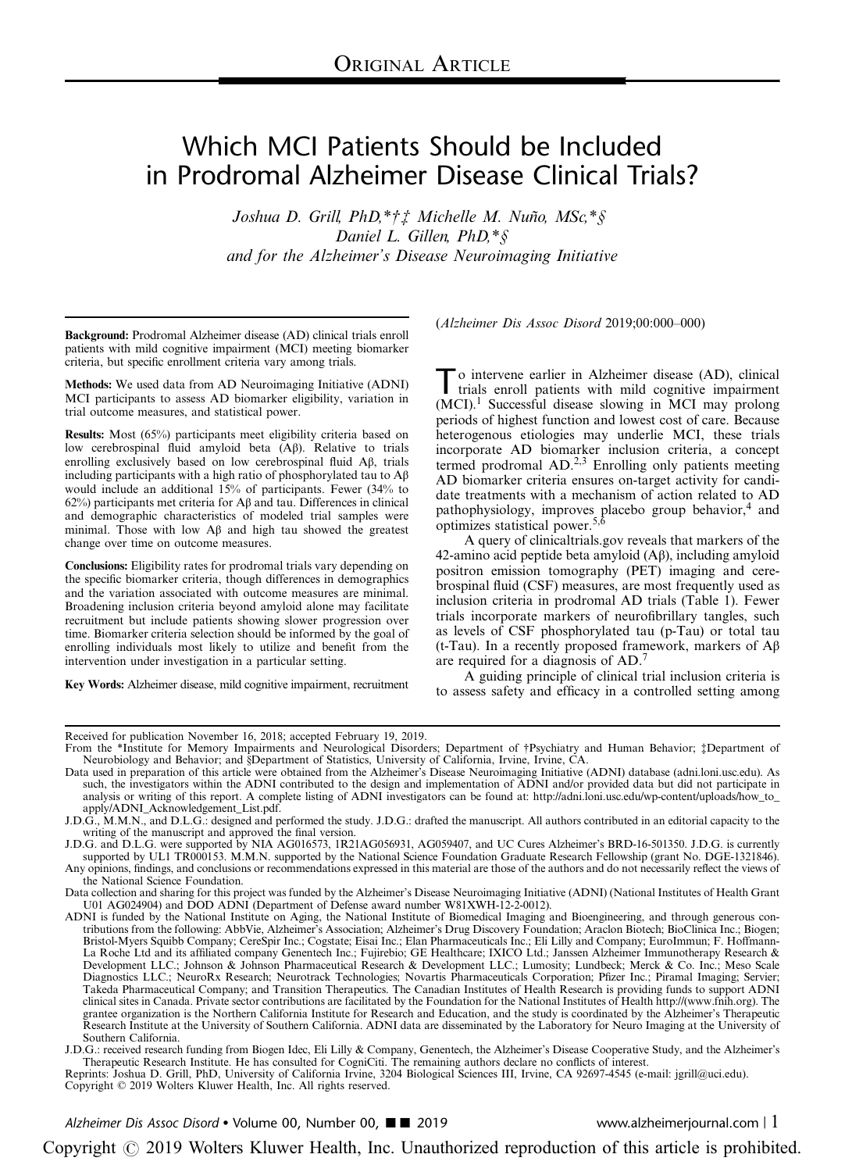# Which MCI Patients Should be Included in Prodromal Alzheimer Disease Clinical Trials?

Joshua D. Grill, PhD,\*†‡ Michelle M. Nuño, MSc,\*§ Daniel L. Gillen, PhD,\*§ and for the Alzheimer's Disease Neuroimaging Initiative

Background: Prodromal Alzheimer disease (AD) clinical trials enroll patients with mild cognitive impairment (MCI) meeting biomarker criteria, but specific enrollment criteria vary among trials.

Methods: We used data from AD Neuroimaging Initiative (ADNI) MCI participants to assess AD biomarker eligibility, variation in trial outcome measures, and statistical power.

Results: Most (65%) participants meet eligibility criteria based on low cerebrospinal fluid amyloid beta (Aβ). Relative to trials enrolling exclusively based on low cerebrospinal fluid Aβ, trials including participants with a high ratio of phosphorylated tau to  $A\beta$ would include an additional 15% of participants. Fewer (34% to 62%) participants met criteria for Aβ and tau. Differences in clinical and demographic characteristics of modeled trial samples were minimal. Those with low  $A\beta$  and high tau showed the greatest change over time on outcome measures.

Conclusions: Eligibility rates for prodromal trials vary depending on the specific biomarker criteria, though differences in demographics and the variation associated with outcome measures are minimal. Broadening inclusion criteria beyond amyloid alone may facilitate recruitment but include patients showing slower progression over time. Biomarker criteria selection should be informed by the goal of enrolling individuals most likely to utilize and benefit from the intervention under investigation in a particular setting.

Key Words: Alzheimer disease, mild cognitive impairment, recruitment

(Alzheimer Dis Assoc Disord 2019;00:000–000)

To intervene earlier in Alzheimer disease (AD), clinical<br>trials enroll patients with mild cognitive impairment<br>MCL l Species of disease in MCL (MCI).[1](#page-7-0) Successful disease slowing in MCI may prolong periods of highest function and lowest cost of care. Because heterogenous etiologies may underlie MCI, these trials incorporate AD biomarker inclusion criteria, a concept termed prodromal  $AD<sup>2,3</sup>$  Enrolling only patients meeting AD biomarker criteria ensures on-target activity for candidate treatments with a mechanism of action related to AD pathophysiology, improves placebo group behavior,<sup>[4](#page-7-0)</sup> and optimizes statistical power.[5,6](#page-7-0)

A query of clinicaltrials.gov reveals that markers of the 42-amino acid peptide beta amyloid (Aβ), including amyloid positron emission tomography (PET) imaging and cerebrospinal fluid (CSF) measures, are most frequently used as inclusion criteria in prodromal AD trials [\(Table 1\)](#page-1-0). Fewer trials incorporate markers of neurofibrillary tangles, such as levels of CSF phosphorylated tau (p-Tau) or total tau (t-Tau). In a recently proposed framework, markers of Aβ are required for a diagnosis of AD.[7](#page-7-0)

A guiding principle of clinical trial inclusion criteria is to assess safety and efficacy in a controlled setting among

Received for publication November 16, 2018; accepted February 19, 2019.

From the \*Institute for Memory Impairments and Neurological Disorders; Department of †Psychiatry and Human Behavior; ‡Department of Neurobiology and Behavior; and §Department of Statistics, University of California, Irvine, Irvine, CA.<br>Data used in preparation of this article were obtained from the Alzheimer's Disease Neuroimaging Initiative (ADNI) dat

such, the investigators within the ADNI contributed to the design and implementation of ADNI and/or provided data but did not participate in analysis or writing of this report. A complete listing of ADNI investigators can be found at: [http://adni.loni.usc.edu/wp-content/uploads/how\\_to\\_](http://adni.loni.usc.edu/wp-content/uploads/how_to_apply/ADNI_Acknowledgement_List.pdf) [apply/ADNI\\_Acknowledgement\\_List.pdf](http://adni.loni.usc.edu/wp-content/uploads/how_to_apply/ADNI_Acknowledgement_List.pdf).

J.D.G., M.M.N., and D.L.G.: designed and performed the study. J.D.G.: drafted the manuscript. All authors contributed in an editorial capacity to the writing of the manuscript and approved the final version.

J.D.G. and D.L.G. were supported by NIA AG016573, 1R21AG056931, AG059407, and UC Cures Alzheimer's BRD-16-501350. J.D.G. is currently supported by ULI TR000153. M.M.N. supported by the National Science Foundation Graduate

Any opinions, findings, and conclusions or recommendations expressed in this material are those of the authors and do not necessarily reflect the views of the National Science Foundation.

Data collection and sharing for this project was funded by the Alzheimer's Disease Neuroimaging Initiative (ADNI) (National Institutes of Health Grant U01 AG024904) and DOD ADNI (Department of Defense award number W81XWH-1

ADNI is funded by the National Institute on Aging, the National Institute of Biomedical Imaging and Bioengineering, and through generous contributions from the following: AbbVie, Alzheimer's Association; Alzheimer's Drug Discovery Foundation; Araclon Biotech; BioClinica Inc.; Biogen; Bristol-Myers Squibb Company; CereSpir Inc.; Cogstate; Eisai Inc.; Elan Pharmaceuticals Inc.; Eli Lilly and Company; EuroImmun; F. Hoffmann-La Roche Ltd and its affiliated company Genentech Inc.; Fujirebio; GE Healthcare; IXICO Ltd.; Janssen Alzheimer Immunotherapy Research &<br>Development LLC.; Johnson & Johnson Pharmaceutical Research & Development LLC.; Lumos Diagnostics LLC.; NeuroRx Research; Neurotrack Technologies; Novartis Pharmaceuticals Corporation; Pfizer Inc.; Piramal Imaging; Servier; Takeda Pharmaceutical Company; and Transition Therapeutics. The Canadian Institutes of Health Research is providing funds to support ADNI clinical sites in Canada. Private sector contributions are facilitated by the Foundation for the National Institutes of Health [http://\(www.fnih.org\)](http://(www.fnih.org)). The grantee organization is the Northern California Institute for Research and Education, and the study is coordinated by the Alzheimer's Therapeutic Research Institute at the University of Southern California. ADNI data are disseminated by the Laboratory for Neuro Imaging at the University of Southern California.

J.D.G.: received research funding from Biogen Idec, Eli Lilly & Company, Genentech, the Alzheimer's Disease Cooperative Study, and the Alzheimer's Therapeutic Research Institute. He has consulted for CogniCiti. The remaini

Reprints: Joshua D. Grill, PhD, University of California Irvine, 3204 Biological Sciences III, Irvine, CA 92697-4545 (e-mail: [jgrill@uci.edu](mailto:jgrill@uci.edu)). Copyright © 2019 Wolters Kluwer Health, Inc. All rights reserved.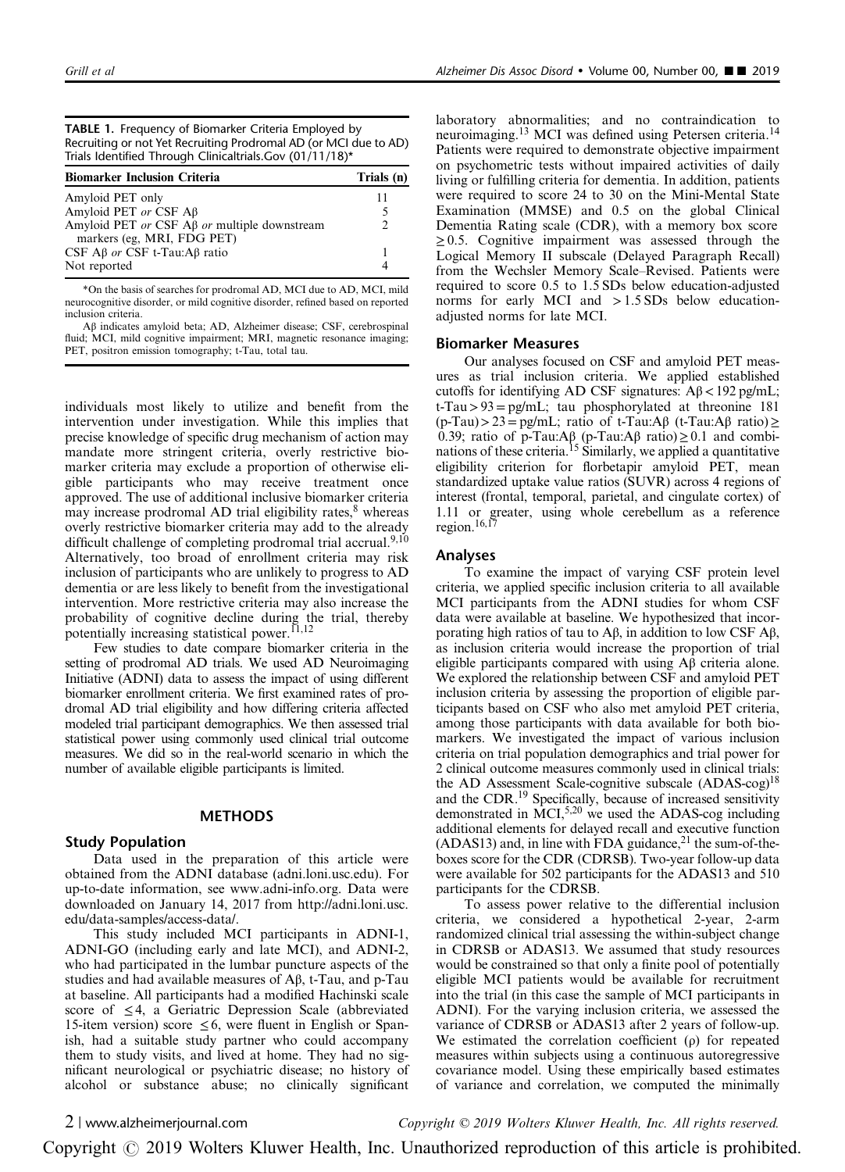<span id="page-1-0"></span>TABLE 1. Frequency of Biomarker Criteria Employed by Recruiting or not Yet Recruiting Prodromal AD (or MCI due to AD) Trials Identified Through Clinicaltrials.Gov (01/11/18)\*

| <b>Biomarker Inclusion Criteria</b>                                                       | Trials (n) |
|-------------------------------------------------------------------------------------------|------------|
| Amyloid PET only                                                                          |            |
| Amyloid PET or CSF $\mathbf{A}\beta$                                                      | 5          |
| Amyloid PET or CSF $\mathbf{A}\beta$ or multiple downstream<br>markers (eg, MRI, FDG PET) |            |
| CSF A $\beta$ or CSF t-Tau:A $\beta$ ratio                                                |            |
| Not reported                                                                              |            |

\*On the basis of searches for prodromal AD, MCI due to AD, MCI, mild neurocognitive disorder, or mild cognitive disorder, refined based on reported inclusion criteria.

Aβ indicates amyloid beta; AD, Alzheimer disease; CSF, cerebrospinal fluid; MCI, mild cognitive impairment; MRI, magnetic resonance imaging; PET, positron emission tomography; t-Tau, total tau.

individuals most likely to utilize and benefit from the intervention under investigation. While this implies that precise knowledge of specific drug mechanism of action may mandate more stringent criteria, overly restrictive biomarker criteria may exclude a proportion of otherwise eligible participants who may receive treatment once approved. The use of additional inclusive biomarker criteria may increase prodromal AD trial eligibility rates, $8$  whereas overly restrictive biomarker criteria may add to the already difficult challenge of completing prodromal trial accrual.<sup>[9,10](#page-7-0)</sup> Alternatively, too broad of enrollment criteria may risk inclusion of participants who are unlikely to progress to AD dementia or are less likely to benefit from the investigational intervention. More restrictive criteria may also increase the probability of cognitive decline during the trial, thereby potentially increasing statistical power.<sup>[11,12](#page-7-0)</sup>

Few studies to date compare biomarker criteria in the setting of prodromal AD trials. We used AD Neuroimaging Initiative (ADNI) data to assess the impact of using different biomarker enrollment criteria. We first examined rates of prodromal AD trial eligibility and how differing criteria affected modeled trial participant demographics. We then assessed trial statistical power using commonly used clinical trial outcome measures. We did so in the real-world scenario in which the number of available eligible participants is limited.

#### **METHODS**

#### Study Population

Data used in the preparation of this article were obtained from the ADNI database (adni.loni.usc.edu). For up-to-date information, see [www.adni-info.org](http://www.adni-info.org). Data were downloaded on January 14, 2017 from [http://adni.loni.usc.](http://adni.loni.usc.edu/data-samples/access-data/) [edu/data-samples/access-data/.](http://adni.loni.usc.edu/data-samples/access-data/)

This study included MCI participants in ADNI-1, ADNI-GO (including early and late MCI), and ADNI-2, who had participated in the lumbar puncture aspects of the studies and had available measures of Aβ, t-Tau, and p-Tau at baseline. All participants had a modified Hachinski scale score of  $\leq 4$ , a Geriatric Depression Scale (abbreviated 15-item version) score  $\leq 6$ , were fluent in English or Spanish, had a suitable study partner who could accompany them to study visits, and lived at home. They had no significant neurological or psychiatric disease; no history of alcohol or substance abuse; no clinically significant

laboratory abnormalities; and no contraindication to neuroimaging.<sup>[13](#page-7-0)</sup> MCI was defined using Petersen criteria.<sup>[14](#page-7-0)</sup> Patients were required to demonstrate objective impairment on psychometric tests without impaired activities of daily living or fulfilling criteria for dementia. In addition, patients were required to score 24 to 30 on the Mini-Mental State Examination (MMSE) and 0.5 on the global Clinical Dementia Rating scale (CDR), with a memory box score  $\geq$  0.5. Cognitive impairment was assessed through the Logical Memory II subscale (Delayed Paragraph Recall) from the Wechsler Memory Scale–Revised. Patients were required to score 0.5 to 1.5 SDs below education-adjusted norms for early MCI and  $>1.5$  SDs below educationadjusted norms for late MCI.

#### Biomarker Measures

Our analyses focused on CSF and amyloid PET measures as trial inclusion criteria. We applied established cutoffs for identifying AD CSF signatures:  $A\beta$  < 192 pg/mL;  $t-Tau > 93 = pg/mL$ ; tau phosphorylated at threonine 181  $(p-Tau) > 23 = pg/mL$ ; ratio of t-Tau:A $\beta$  (t-Tau:A $\beta$  ratio)  $\ge$ 0.39; ratio of p-Tau:Aβ (p-Tau:Aβ ratio) ≥ 0.1 and combi-nations of these criteria.<sup>[15](#page-7-0)</sup> Similarly, we applied a quantitative eligibility criterion for florbetapir amyloid PET, mean standardized uptake value ratios (SUVR) across 4 regions of interest (frontal, temporal, parietal, and cingulate cortex) of 1.11 or greater, using whole cerebellum as a reference region.[16,17](#page-7-0)

#### Analyses

To examine the impact of varying CSF protein level criteria, we applied specific inclusion criteria to all available MCI participants from the ADNI studies for whom CSF data were available at baseline. We hypothesized that incorporating high ratios of tau to Aβ, in addition to low CSF Aβ, as inclusion criteria would increase the proportion of trial eligible participants compared with using  $\mathbf{A}\beta$  criteria alone. We explored the relationship between CSF and amyloid PET inclusion criteria by assessing the proportion of eligible participants based on CSF who also met amyloid PET criteria, among those participants with data available for both biomarkers. We investigated the impact of various inclusion criteria on trial population demographics and trial power for 2 clinical outcome measures commonly used in clinical trials: the AD Assessment Scale-cognitive subscale (ADAS-cog)<sup>18</sup> and the CDR.<sup>19</sup> Specifically, because of increased sensitivity demonstrated in  $\widehat{MCI}$ , 5,20 we used the ADAS-cog including additional elements for delayed recall and executive function  $(ADAS13)$  and, in line with FDA guidance,<sup>[21](#page-8-0)</sup> the sum-of-theboxes score for the CDR (CDRSB). Two-year follow-up data were available for 502 participants for the ADAS13 and 510 participants for the CDRSB.

To assess power relative to the differential inclusion criteria, we considered a hypothetical 2-year, 2-arm randomized clinical trial assessing the within-subject change in CDRSB or ADAS13. We assumed that study resources would be constrained so that only a finite pool of potentially eligible MCI patients would be available for recruitment into the trial (in this case the sample of MCI participants in ADNI). For the varying inclusion criteria, we assessed the variance of CDRSB or ADAS13 after 2 years of follow-up. We estimated the correlation coefficient (ρ) for repeated measures within subjects using a continuous autoregressive covariance model. Using these empirically based estimates of variance and correlation, we computed the minimally

 $2$  | www.alzheimerjournal.com  $Copyright \odot 2019 \; Wolters \; Kluwer \; Health, \; Inc. \; All \; rights \; reserved.$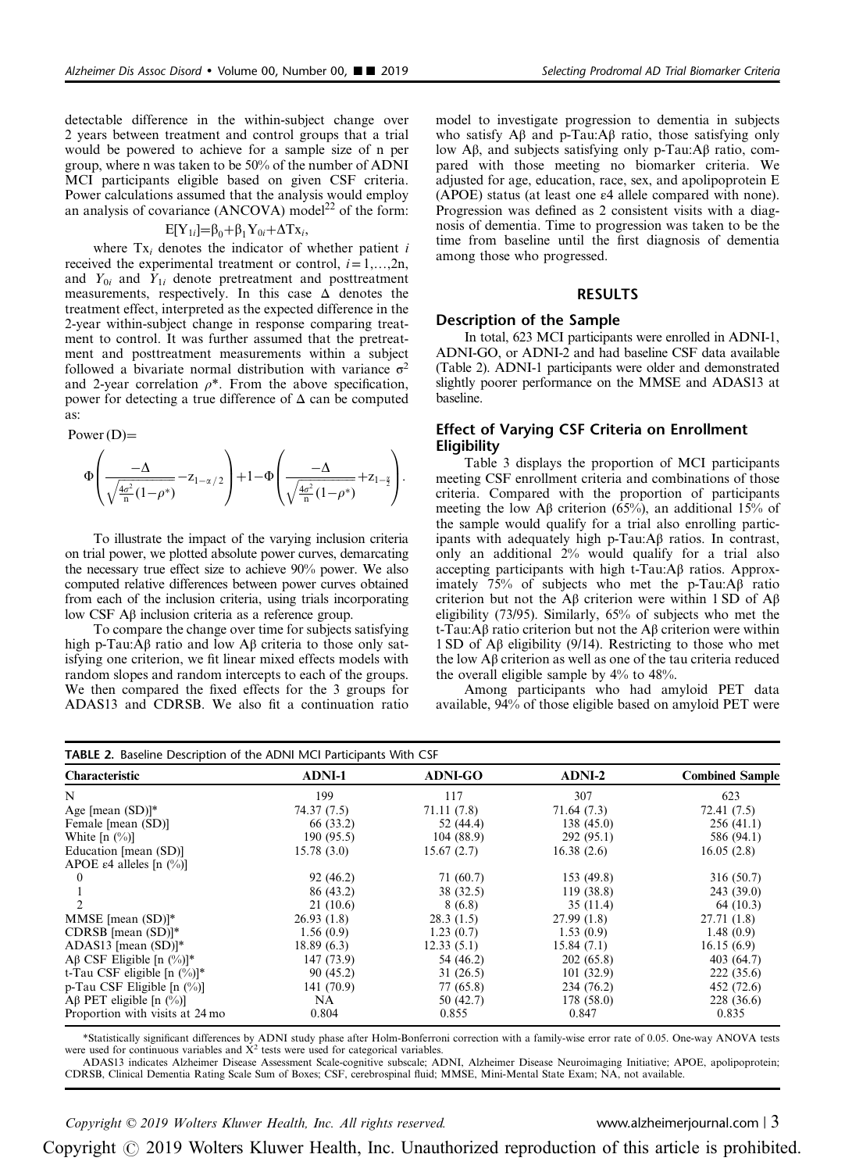detectable difference in the within-subject change over 2 years between treatment and control groups that a trial would be powered to achieve for a sample size of n per group, where n was taken to be 50% of the number of ADNI MCI participants eligible based on given CSF criteria. Power calculations assumed that the analysis would employ an analysis of covariance  $(ANCOVA) \text{ model}^{22}$  $(ANCOVA) \text{ model}^{22}$  $(ANCOVA) \text{ model}^{22}$  of the form:

$$
E[Y_{1i}]=\beta_0+\beta_1Y_{0i}+\Delta Tx_i,
$$

where  $Tx_i$  denotes the indicator of whether patient i received the experimental treatment or control,  $i = 1, \ldots, 2n$ , and  $Y_{0i}$  and  $Y_{1i}$  denote pretreatment and posttreatment measurements, respectively. In this case Δ denotes the treatment effect, interpreted as the expected difference in the 2-year within-subject change in response comparing treatment to control. It was further assumed that the pretreatment and posttreatment measurements within a subject followed a bivariate normal distribution with variance  $\sigma^2$ and 2-year correlation  $\rho^*$ . From the above specification, power for detecting a true difference of  $\Delta$  can be computed as:

$$
Power(D)=
$$

$$
\Phi\left(\frac{-\Delta}{\sqrt{\frac{4\sigma^2}{n}(1-\rho^*)}}-z_{1-\alpha/2}\right)+1-\Phi\left(\frac{-\Delta}{\sqrt{\frac{4\sigma^2}{n}(1-\rho^*)}}+z_{1-\frac{\alpha}{2}}\right).
$$

To illustrate the impact of the varying inclusion criteria on trial power, we plotted absolute power curves, demarcating the necessary true effect size to achieve 90% power. We also computed relative differences between power curves obtained from each of the inclusion criteria, using trials incorporating low CSF Aβ inclusion criteria as a reference group.

To compare the change over time for subjects satisfying high p-Tau:Aβ ratio and low Aβ criteria to those only satisfying one criterion, we fit linear mixed effects models with random slopes and random intercepts to each of the groups. We then compared the fixed effects for the 3 groups for ADAS13 and CDRSB. We also fit a continuation ratio

model to investigate progression to dementia in subjects who satisfy Aβ and p-Tau:Aβ ratio, those satisfying only low Aβ, and subjects satisfying only p-Tau:Aβ ratio, compared with those meeting no biomarker criteria. We adjusted for age, education, race, sex, and apolipoprotein E (APOE) status (at least one ε4 allele compared with none). Progression was defined as 2 consistent visits with a diagnosis of dementia. Time to progression was taken to be the time from baseline until the first diagnosis of dementia among those who progressed.

## RESULTS

#### Description of the Sample

In total, 623 MCI participants were enrolled in ADNI-1, ADNI-GO, or ADNI-2 and had baseline CSF data available (Table 2). ADNI-1 participants were older and demonstrated slightly poorer performance on the MMSE and ADAS13 at baseline.

## Effect of Varying CSF Criteria on Enrollment **Eligibility**

[Table 3](#page-3-0) displays the proportion of MCI participants meeting CSF enrollment criteria and combinations of those criteria. Compared with the proportion of participants meeting the low A $\beta$  criterion (65%), an additional 15% of the sample would qualify for a trial also enrolling participants with adequately high p-Tau:Aβ ratios. In contrast, only an additional 2% would qualify for a trial also accepting participants with high t-Tau:Aβ ratios. Approximately 75% of subjects who met the p-Tau:Aβ ratio criterion but not the Aβ criterion were within 1 SD of  $Aβ$ eligibility (73/95). Similarly, 65% of subjects who met the t-Tau:Aβ ratio criterion but not the Aβ criterion were within 1 SD of Aβ eligibility (9/14). Restricting to those who met the low Aβ criterion as well as one of the tau criteria reduced the overall eligible sample by 4% to 48%.

Among participants who had amyloid PET data available, 94% of those eligible based on amyloid PET were

| <b>Characteristic</b>                                                  | <b>ADNI-1</b> | <b>ADNI-GO</b> | <b>ADNI-2</b> | <b>Combined Sample</b> |
|------------------------------------------------------------------------|---------------|----------------|---------------|------------------------|
| N                                                                      | 199           | 117            | 307           | 623                    |
| Age [mean $(SD)$ ]*                                                    | 74.37 (7.5)   | 71.11 (7.8)    | 71.64 (7.3)   | 72.41(7.5)             |
| Female [mean (SD)]                                                     | 66 (33.2)     | 52 (44.4)      | 138(45.0)     | 256(41.1)              |
| White $[n (%)]$                                                        | 190(95.5)     | 104(88.9)      | 292(95.1)     | 586 (94.1)             |
| Education [mean (SD)]                                                  | 15.78(3.0)    | 15.67(2.7)     | 16.38(2.6)    | 16.05(2.8)             |
| APOE $\varepsilon$ 4 alleles [n $(\%)$ ]                               |               |                |               |                        |
|                                                                        | 92(46.2)      | 71(60.7)       | 153(49.8)     | 316 (50.7)             |
|                                                                        | 86 (43.2)     | 38 (32.5)      | 119(38.8)     | 243 (39.0)             |
|                                                                        | 21(10.6)      | 8(6.8)         | 35(11.4)      | 64(10.3)               |
| MMSE [mean $(SD)$ ]*                                                   | 26.93(1.8)    | 28.3(1.5)      | 27.99(1.8)    | 27.71 (1.8)            |
| CDRSB [mean $(SD)$ ]*                                                  | 1.56(0.9)     | 1.23(0.7)      | 1.53(0.9)     | 1.48(0.9)              |
| ADAS13 [mean $(SD)$ ]*                                                 | 18.89(6.3)    | 12.33(5.1)     | 15.84(7.1)    | 16.15(6.9)             |
| $\mathbf{A}\beta \mathbf{C}\mathbf{S}\mathbf{F}$ Eligible [n $(\%)$ ]* | 147 (73.9)    | 54 (46.2)      | 202(65.8)     | 403 (64.7)             |
| t-Tau CSF eligible $[n \ (\%)]^*$                                      | 90(45.2)      | 31(26.5)       | 101(32.9)     | 222 (35.6)             |
| p-Tau CSF Eligible $[n \ (\%)]$                                        | 141 (70.9)    | 77 (65.8)      | 234 (76.2)    | 452 (72.6)             |
| $\mathbf{A}\beta$ PET eligible [n $(\%)$ ]                             | NA.           | 50(42.7)       | 178(58.0)     | 228 (36.6)             |
| Proportion with visits at 24 mo                                        | 0.804         | 0.855          | 0.847         | 0.835                  |

\*Statistically significant differences by ADNI study phase after Holm-Bonferroni correction with a family-wise error rate of 0.05. One-way ANOVA tests were used for continuous variables and  $X^2$  tests were used for categorical variables.

ADAS13 indicates Alzheimer Disease Assessment Scale-cognitive subscale; ADNI, Alzheimer Disease Neuroimaging Initiative; APOE, apolipoprotein; CDRSB, Clinical Dementia Rating Scale Sum of Boxes; CSF, cerebrospinal fluid; MMSE, Mini-Mental State Exam; NA, not available.

Copyright © 2019 Wolters Kluwer Health, Inc. All rights reserved. www.alzheimerjournal.com | 3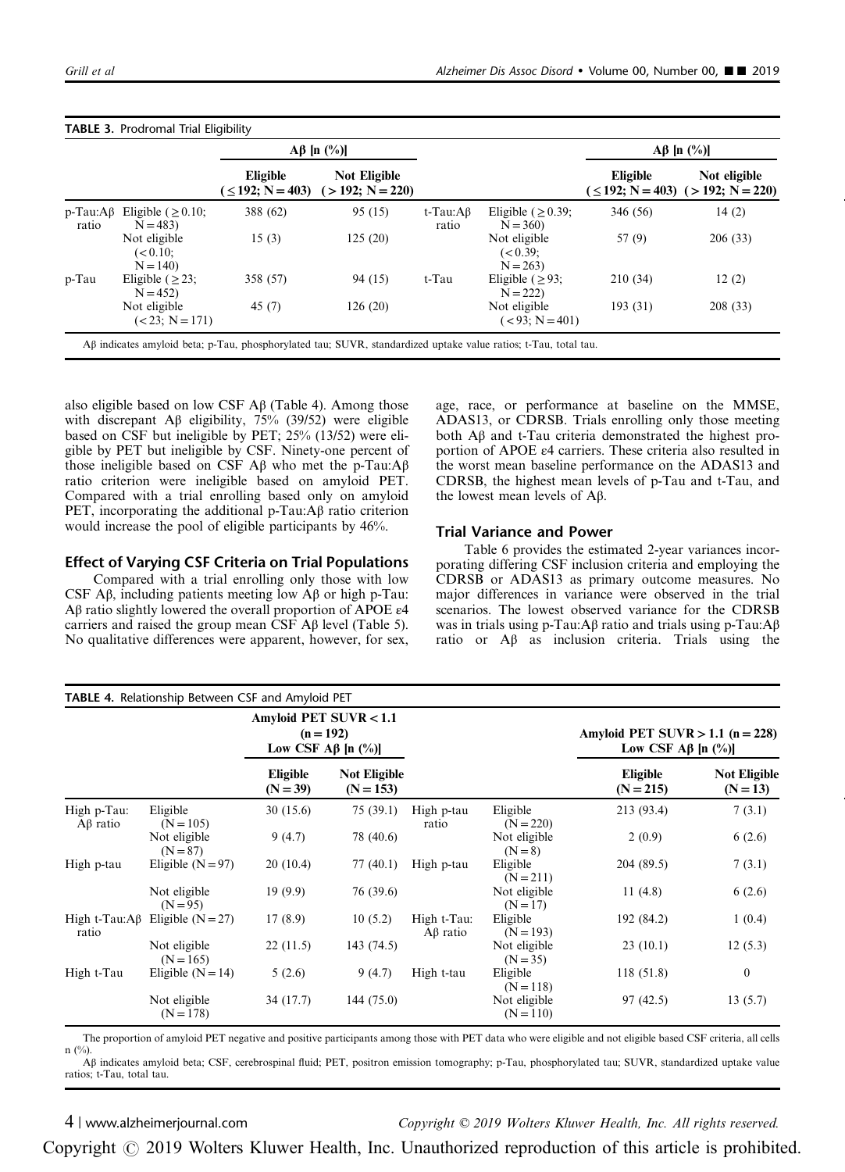<span id="page-3-0"></span>

|                             |                                          |                                    | $A\beta$ [n $(\%)$ ]                   |                          |                                          |          | $\mathbf{A}\boldsymbol{\beta}$ [n $(\%)$ ]          |
|-----------------------------|------------------------------------------|------------------------------------|----------------------------------------|--------------------------|------------------------------------------|----------|-----------------------------------------------------|
|                             |                                          | Eligible<br>$( \leq 192; N = 403)$ | <b>Not Eligible</b><br>$(>192; N=220)$ |                          |                                          | Eligible | Not eligible<br>$(<192; N = 403)$ $(>192; N = 220)$ |
| $p$ -Tau: $A\beta$<br>ratio | Eligible ( $\geq 0.10$ ;<br>$N = 483$    | 388 (62)                           | 95(15)                                 | t-Tau: $A\beta$<br>ratio | Eligible ( $\geq$ 0.39;<br>$N = 360$     | 346 (56) | 14(2)                                               |
|                             | Not eligible<br>$(< 0.10$ :<br>$N = 140$ | 15(3)                              | 125(20)                                |                          | Not eligible<br>$(< 0.39$ ;<br>$N = 263$ | 57(9)    | 206(33)                                             |
| p-Tau                       | Eligible ( $\geq$ 23;<br>$N = 452$       | 358 (57)                           | 94 (15)                                | t-Tau                    | Eligible ( $\geq$ 93;<br>$N = 222$       | 210(34)  | 12(2)                                               |
|                             | Not eligible<br>$(< 23; N = 171)$        | 45 $(7)$                           | 126(20)                                |                          | Not eligible<br>$(< 93; N = 401)$        | 193(31)  | 208 (33)                                            |

also eligible based on low CSF  $\mathbf{A}\beta$  (Table 4). Among those with discrepant A $\beta$  eligibility, 75% (39/52) were eligible based on CSF but ineligible by PET; 25% (13/52) were eligible by PET but ineligible by CSF. Ninety-one percent of those ineligible based on CSF Aβ who met the p-Tau:Aβ ratio criterion were ineligible based on amyloid PET. Compared with a trial enrolling based only on amyloid PET, incorporating the additional p-Tau:Aβ ratio criterion would increase the pool of eligible participants by 46%.

## Effect of Varying CSF Criteria on Trial Populations

Compared with a trial enrolling only those with low CSF Aβ, including patients meeting low Aβ or high p-Tau: Aβ ratio slightly lowered the overall proportion of APOE ε4 carriers and raised the group mean CSF Aβ level ([Table 5\)](#page-4-0). No qualitative differences were apparent, however, for sex, age, race, or performance at baseline on the MMSE, ADAS13, or CDRSB. Trials enrolling only those meeting both Aβ and t-Tau criteria demonstrated the highest proportion of APOE ε4 carriers. These criteria also resulted in the worst mean baseline performance on the ADAS13 and CDRSB, the highest mean levels of p-Tau and t-Tau, and the lowest mean levels of Aβ.

## Trial Variance and Power

[Table 6](#page-5-0) provides the estimated 2-year variances incorporating differing CSF inclusion criteria and employing the CDRSB or ADAS13 as primary outcome measures. No major differences in variance were observed in the trial scenarios. The lowest observed variance for the CDRSB was in trials using p-Tau:Aβ ratio and trials using p-Tau:Aβ ratio or Aβ as inclusion criteria. Trials using the

|                               | TABLE 4. Relationship Between CSF and Amyloid PET |                               |                                                                                |                               |                             |                                                                             |                                   |
|-------------------------------|---------------------------------------------------|-------------------------------|--------------------------------------------------------------------------------|-------------------------------|-----------------------------|-----------------------------------------------------------------------------|-----------------------------------|
|                               |                                                   |                               | Amyloid PET SUVR < 1.1<br>$(n = 192)$<br>Low CSF $\mathrm{A}\beta$ [n $(\%)$ ] |                               |                             | Amyloid PET SUVR $> 1.1$ (n = 228)<br>Low CSF $\mathbf{A}\beta$ [n $(\%)$ ] |                                   |
|                               |                                                   | <b>Eligible</b><br>$(N = 39)$ | <b>Not Eligible</b><br>$(N = 153)$                                             |                               |                             | Eligible<br>$(N = 215)$                                                     | <b>Not Eligible</b><br>$(N = 13)$ |
| High p-Tau:<br>$A\beta$ ratio | Eligible<br>$(N = 105)$                           | 30(15.6)                      | 75(39.1)                                                                       | High p-tau<br>ratio           | Eligible<br>$(N = 220)$     | 213 (93.4)                                                                  | 7(3.1)                            |
|                               | Not eligible<br>$(N = 87)$                        | 9(4.7)                        | 78 (40.6)                                                                      |                               | Not eligible<br>$(N = 8)$   | 2(0.9)                                                                      | 6(2.6)                            |
| High p-tau                    | Eligible $(N = 97)$                               | 20(10.4)                      | 77(40.1)                                                                       | High p-tau                    | Eligible<br>$(N = 211)$     | 204 (89.5)                                                                  | 7(3.1)                            |
|                               | Not eligible<br>$(N = 95)$                        | 19(9.9)                       | 76 (39.6)                                                                      |                               | Not eligible<br>$(N = 17)$  | 11 $(4.8)$                                                                  | 6(2.6)                            |
| ratio                         | High t-Tau: $A\beta$ Eligible (N = 27)            | 17(8.9)                       | 10(5.2)                                                                        | High t-Tau:<br>$A\beta$ ratio | Eligible<br>$(N = 193)$     | 192 (84.2)                                                                  | 1(0.4)                            |
|                               | Not eligible<br>$(N = 165)$                       | 22(11.5)                      | 143 (74.5)                                                                     |                               | Not eligible<br>$(N = 35)$  | 23(10.1)                                                                    | 12(5.3)                           |
| High t-Tau                    | Eligible $(N = 14)$                               | 5(2.6)                        | 9(4.7)                                                                         | High t-tau                    | Eligible<br>$(N = 118)$     | 118(51.8)                                                                   | $\mathbf{0}$                      |
|                               | Not eligible<br>$(N = 178)$                       | 34(17.7)                      | 144(75.0)                                                                      |                               | Not eligible<br>$(N = 110)$ | 97 (42.5)                                                                   | 13(5.7)                           |

The proportion of amyloid PET negative and positive participants among those with PET data who were eligible and not eligible based CSF criteria, all cells n (%).

Aβ indicates amyloid beta; CSF, cerebrospinal fluid; PET, positron emission tomography; p-Tau, phosphorylated tau; SUVR, standardized uptake value ratios; t-Tau, total tau.

4 | www.alzheimerjournal.com Copyright © 2019 Wolters Kluwer Health, Inc. All rights reserved.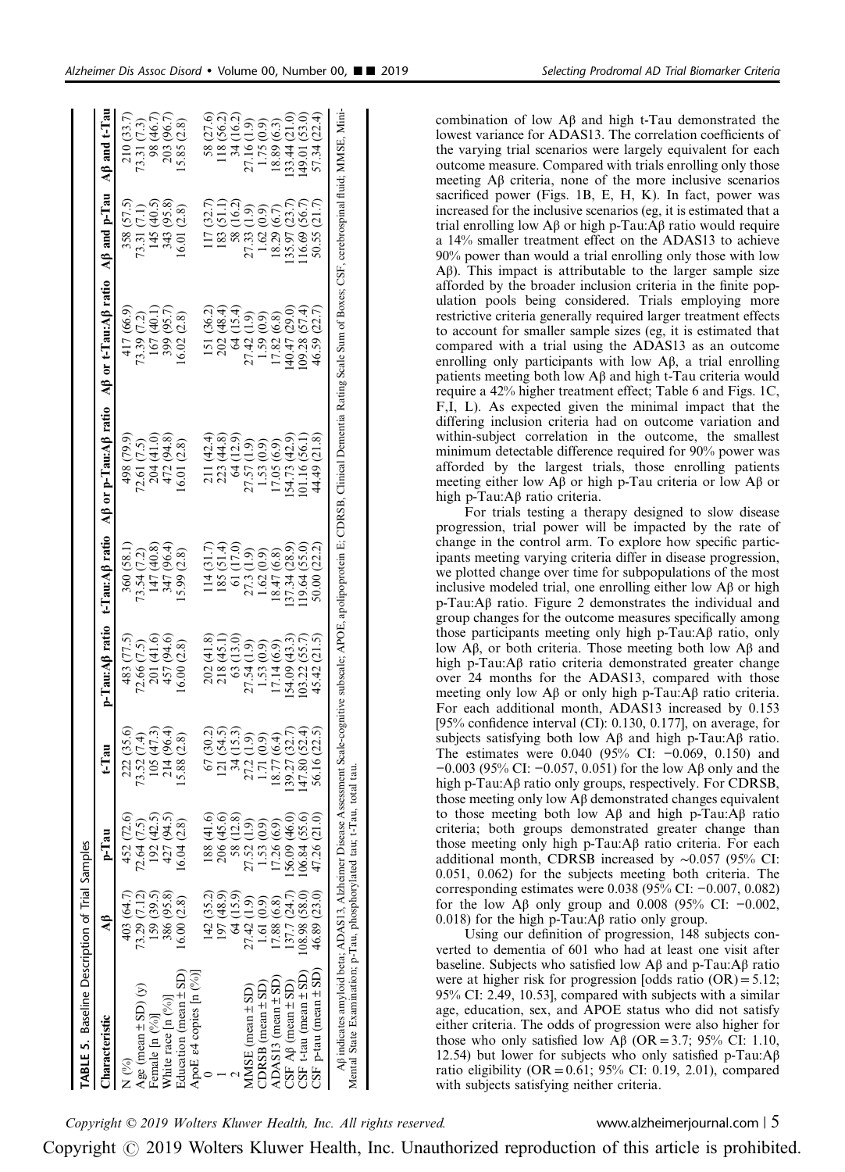<span id="page-4-0"></span>

| <b>TABLE 5.</b> Baseline Description of Trial Samples             |               |              |                           |                                        |                             |                                                                                                                                                                                                             |                        |                                        |                          |
|-------------------------------------------------------------------|---------------|--------------|---------------------------|----------------------------------------|-----------------------------|-------------------------------------------------------------------------------------------------------------------------------------------------------------------------------------------------------------|------------------------|----------------------------------------|--------------------------|
| haracteristic                                                     | $\lambda$ 6   | p-Tau        | t-Tau                     |                                        |                             | p-Tau:AB ratio t-Tau:AB ratio AB or p-Tau:AB ratio AB or t-Tau:AB ratio AB and p-Tau AB and t-Tau                                                                                                           |                        |                                        |                          |
| ⊗<br>¤                                                            | 403 (64.7     | 452 (72.6)   | 222 (35.6)                | 483 (77.5)                             | 360 (58.1)                  | (662) 864                                                                                                                                                                                                   | 417 (66.9)             | 358 (57.5)                             | 210 (33.7                |
| Age (mean $\pm$ SD) $(y)$                                         | 73.29 (7.12)  | 72.64 (7.5)  | (7.4)<br>73.52(           | 2.66(7.5)                              | (7.2)<br>73.54(             | 72.61(7.5)                                                                                                                                                                                                  | (7.3)                  | (7.1)                                  | (7.3)<br>73.31(          |
| Female [n (%)]                                                    | 159(39.5)     | [92(42.5)    | 105(47.3)                 | 201 (41.6)                             | 147                         | 204                                                                                                                                                                                                         | 167 (40.1)             | 145 (40.5)                             | (46.7)<br>$\frac{8}{3}$  |
| White race [n (%)]                                                | 386 (95.8)    | 427 (94.5)   | 214 (96.4)                | 457 (94.6)                             | $(40.8)$<br>$(96.4)$<br>347 | ⊝ ବ.<br>स.ह<br>472(                                                                                                                                                                                         | 399 (95.7              | 343 (95.8)                             | 203 (96.7                |
| Education (mean $\pm$ SD)                                         | 6.00(2.8)     | 6.04(2.8)    | 5.88                      | 6.00(2.8)                              | (2.8)<br>15.99              | (2.8)<br>16.01                                                                                                                                                                                              | 6.02(2.8)              | 6.01 (2.8)                             | 5.85 (2.8)               |
| ApoE e4 copies [n (%)]                                            |               |              |                           |                                        |                             |                                                                                                                                                                                                             |                        |                                        |                          |
|                                                                   | (35.2)        | 188 (41.6)   | 67(30.2)                  | 202(41.8)                              | (31.7)                      | (42.4)                                                                                                                                                                                                      | 151 (36.2)             | 17(32.7)                               | 58 (27.6)                |
|                                                                   | $(6.84)$ (197 | 206 (45.6)   | 121 (54.5)                | 218 (45.1)                             | 185 (51.4)                  | 223 (44.8)                                                                                                                                                                                                  | 202 (48.4)             | 183 (51.1)                             | 118 (56.2)               |
|                                                                   | 64 (15.9)     | 58 (12.8)    | (15.3)<br>34(             | (13.0)<br>63(                          | (17.0)<br>$\overline{6}$    | (12.9)<br>$\sim$                                                                                                                                                                                            | (15.4)<br>F            | (16.2)<br>58 <sub>0</sub>              | (16.2)<br>$\frac{34}{5}$ |
| $MMSE$ (mean $\pm SD$ )                                           | 27.42 (1.9)   | 27.52 (1.9)  | $\overline{1.9}$<br>27.2( | $\left( \frac{1}{9} \right)$<br>27.54( | (0.1)<br>27.3               | $\frac{5}{1}$<br>27.57                                                                                                                                                                                      | $\frac{5}{1}$<br>27.42 | $\left( \frac{1}{9} \right)$<br>27.33( | 27.16 (1.9)              |
| $DRSB$ (mean $\pm SD$ )                                           | (.61(0.9)     | 1.53(0.9)    | (0.9)<br>1.71(            | 1.53(0.9)                              | (0.9)<br>1.62               | (0.9)<br>1.53(                                                                                                                                                                                              | 1.59(0.9)              | 1.62(0.9)                              | 1.75(0.9)                |
| $ADAS13$ (mean $\pm SD$ )                                         | 7.88 (6.8)    | 7.26 (6.9)   | (8.77(6.4)                | 17.14(6.9)                             | 18.47(6.8)                  | (6.9)<br>17.05                                                                                                                                                                                              | 17.82 (6.8)            | 18.29(6.7)                             | (6.3)<br>18.89           |
| $CSF$ A $\beta$ (mean $\pm SD$ )                                  | [37.7 (24.7)  | 56.09 (46.0) | 139.27 (32.7              | 54.09 (43.3)                           | 37.34(28.9)                 | 54.73 (42.9)                                                                                                                                                                                                | 40.47 (29.0            | 35.97 (23.7)                           | (21.0)<br>33.44          |
| CSF t-tau (mean ± SD)                                             | 08.98(58.0)   | 106.84(55.6) | 17.80 (52.4)              | 03.22(55.7)                            | 19.64(55.0)                 | 01.16 (56.1                                                                                                                                                                                                 | 09.28(57.4)            | 16.69 (56.7                            | 49.01 (53.0)             |
| $CSF$ p-tau (mean $\pm SD$ )                                      | 46.89 (23.0)  | 47.26 (21.0) | (22.5)<br>6.16(           | (21.5)<br>45.42                        | (22.2)<br>50.00             | 44.49 (21.8)                                                                                                                                                                                                | 46.59 (22.7)           | 50.55 (21.7                            | (22.4)<br>57.34          |
| Mental State Examination; p-Tau, phosphorylated tau; t-Tau, total |               |              | tau.                      |                                        |                             | Aß indicates amyloid beta; ADAS13, Alzheimer Disease Assessment Scale-cognitive subscale; APOE, apolipoprotein E; CDRSB, Clinical Dementia Rating Scale Sum of Boxes; CSF, cerebrospinal fluid; MMSE, Mfini |                        |                                        |                          |

combination of low Aβ and high t-Tau demonstrated the lowest variance for ADAS13. The correlation coefficients of the varying trial scenarios were largely equivalent for each outcome measure. Compared with trials enrolling only those meeting Aβ criteria, none of the more inclusive scenarios sacrificed power ([Figs. 1B, E, H, K\)](#page-6-0). In fact, power was increased for the inclusive scenarios (eg, it is estimated that a trial enrolling low Aβ or high p-Tau:Aβ ratio would require a 14% smaller treatment effect on the ADAS13 to achieve 90% power than would a trial enrolling only those with low Aβ). This impact is attributable to the larger sample size afforded by the broader inclusion criteria in the finite population pools being considered. Trials employing more restrictive criteria generally required larger treatment effects to account for smaller sample sizes (eg, it is estimated that compared with a trial using the ADAS13 as an outcome enrolling only participants with low Aβ, a trial enrolling patients meeting both low Aβ and high t-Tau criteria would require a 42% higher treatment effect; [Table 6](#page-5-0) and [Figs. 1C,](#page-6-0) [F,I, L\)](#page-6-0). As expected given the minimal impact that the differing inclusion criteria had on outcome variation and within-subject correlation in the outcome, the smallest minimum detectable difference required for 90% power was afforded by the largest trials, those enrolling patients meeting either low Aβ or high p-Tau criteria or low Aβ or high p-Tau:Aβ ratio criteria.

For trials testing a therapy designed to slow disease progression, trial power will be impacted by the rate of change in the control arm. To explore how specific participants meeting varying criteria differ in disease progression, we plotted change over time for subpopulations of the most inclusive modeled trial, one enrolling either low  $\mathbf{A}\beta$  or high p-Tau:Aβ ratio. [Figure 2](#page-6-0) demonstrates the individual and group changes for the outcome measures specifically among those participants meeting only high p-Tau:Aβ ratio, only low Aβ, or both criteria. Those meeting both low Aβ and high p-Tau:Aβ ratio criteria demonstrated greater change over 24 months for the ADAS13, compared with those meeting only low Aβ or only high p-Tau:Aβ ratio criteria. For each additional month, ADAS13 increased by 0.153 [95% confidence interval (CI): 0.130, 0.177], on average, for subjects satisfying both low Aβ and high p-Tau:Aβ ratio. The estimates were 0.040 (95% CI: −0.069, 0.150) and −0.003 (95% CI: −0.057, 0.051) for the low Aβ only and the high p-Tau:Aβ ratio only groups, respectively. For CDRSB, those meeting only low  $\Lambda$ β demonstrated changes equivalent to those meeting both low Aβ and high p-Tau:Aβ ratio criteria; both groups demonstrated greater change than those meeting only high p-Tau:Aβ ratio criteria. For each additional month, CDRSB increased by ∼0.057 (95% CI: 0.051, 0.062) for the subjects meeting both criteria. The corresponding estimates were 0.038 (95% CI: −0.007, 0.082) for the low A $\beta$  only group and 0.008 (95% CI: -0.002, 0.018) for the high p-Tau:Aβ ratio only group.

Using our definition of progression, 148 subjects converted to dementia of 601 who had at least one visit after baseline. Subjects who satisfied low Aβ and p-Tau:Aβ ratio were at higher risk for progression [odds ratio  $(OR) = 5.12$ ; 95% CI: 2.49, 10.53], compared with subjects with a similar age, education, sex, and APOE status who did not satisfy either criteria. The odds of progression were also higher for those who only satisfied low  $A\beta$  (OR = 3.7; 95% CI: 1.10, 12.54) but lower for subjects who only satisfied p-Tau: $Aβ$ ratio eligibility (OR =  $0.61$ ; 95% CI: 0.19, 2.01), compared with subjects satisfying neither criteria.

Copyright © 2019 Wolters Kluwer Health, Inc. All rights reserved. www.alzheimerjournal.com | 5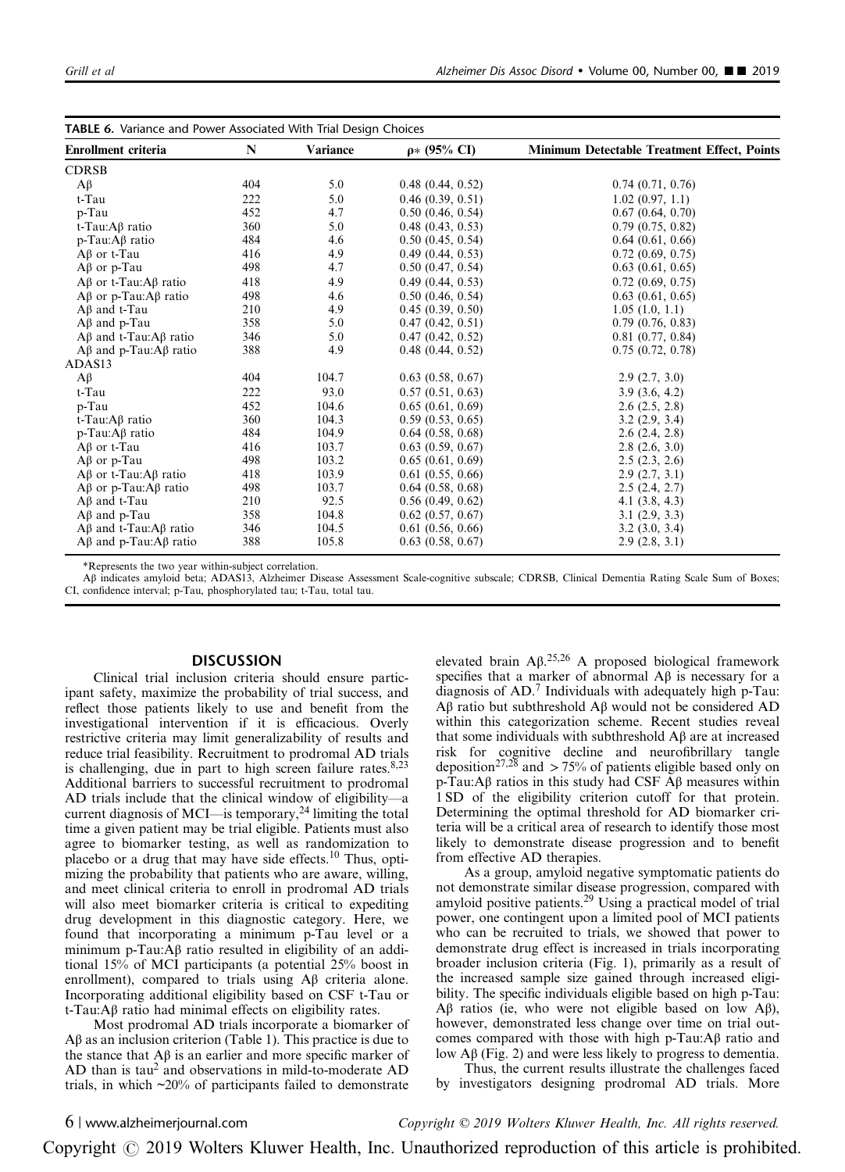<span id="page-5-0"></span>

| Enrollment criteria                | N   | Variance | $\rho$ * (95% CI)     | <b>Minimum Detectable Treatment Effect, Points</b> |
|------------------------------------|-----|----------|-----------------------|----------------------------------------------------|
| <b>CDRSB</b>                       |     |          |                       |                                                    |
| $A\beta$                           | 404 | 5.0      | 0.48(0.44, 0.52)      | 0.74(0.71, 0.76)                                   |
| t-Tau                              | 222 | 5.0      | 0.46(0.39, 0.51)      | 1.02(0.97, 1.1)                                    |
| p-Tau                              | 452 | 4.7      | 0.50(0.46, 0.54)      | 0.67(0.64, 0.70)                                   |
| t-Tau: $A\beta$ ratio              | 360 | 5.0      | 0.48(0.43, 0.53)      | 0.79(0.75, 0.82)                                   |
| $p$ -Tau: $A\beta$ ratio           | 484 | 4.6      | 0.50(0.45, 0.54)      | 0.64(0.61, 0.66)                                   |
| $A\beta$ or t-Tau                  | 416 | 4.9      | 0.49(0.44, 0.53)      | 0.72(0.69, 0.75)                                   |
| $A\beta$ or p-Tau                  | 498 | 4.7      | 0.50(0.47, 0.54)      | $0.63$ $(0.61, 0.65)$                              |
| $A\beta$ or t-Tau: $A\beta$ ratio  | 418 | 4.9      | 0.49(0.44, 0.53)      | 0.72(0.69, 0.75)                                   |
| $A\beta$ or p-Tau: $A\beta$ ratio  | 498 | 4.6      | 0.50(0.46, 0.54)      | 0.63(0.61, 0.65)                                   |
| $A\beta$ and t-Tau                 | 210 | 4.9      | 0.45(0.39, 0.50)      | 1.05(1.0, 1.1)                                     |
| $A\beta$ and p-Tau                 | 358 | 5.0      | 0.47(0.42, 0.51)      | 0.79(0.76, 0.83)                                   |
| $A\beta$ and t-Tau: $A\beta$ ratio | 346 | 5.0      | 0.47(0.42, 0.52)      | $0.81$ $(0.77, 0.84)$                              |
| $A\beta$ and p-Tau: $A\beta$ ratio | 388 | 4.9      | 0.48(0.44, 0.52)      | 0.75(0.72, 0.78)                                   |
| ADAS13                             |     |          |                       |                                                    |
| $A\beta$                           | 404 | 104.7    | 0.63(0.58, 0.67)      | 2.9(2.7, 3.0)                                      |
| t-Tau                              | 222 | 93.0     | 0.57(0.51, 0.63)      | 3.9(3.6, 4.2)                                      |
| p-Tau                              | 452 | 104.6    | 0.65(0.61, 0.69)      | 2.6(2.5, 2.8)                                      |
| t-Tau: $A\beta$ ratio              | 360 | 104.3    | 0.59(0.53, 0.65)      | 3.2(2.9, 3.4)                                      |
| $p$ -Tau: $A\beta$ ratio           | 484 | 104.9    | 0.64(0.58, 0.68)      | 2.6(2.4, 2.8)                                      |
| $A\beta$ or t-Tau                  | 416 | 103.7    | 0.63(0.59, 0.67)      | 2.8(2.6, 3.0)                                      |
| $A\beta$ or p-Tau                  | 498 | 103.2    | 0.65(0.61, 0.69)      | 2.5(2.3, 2.6)                                      |
| $A\beta$ or t-Tau: $A\beta$ ratio  | 418 | 103.9    | 0.61(0.55, 0.66)      | 2.9(2.7, 3.1)                                      |
| $A\beta$ or p-Tau: $A\beta$ ratio  | 498 | 103.7    | 0.64(0.58, 0.68)      | 2.5(2.4, 2.7)                                      |
| $A\beta$ and t-Tau                 | 210 | 92.5     | 0.56(0.49, 0.62)      | 4.1(3.8, 4.3)                                      |
| $A\beta$ and p-Tau                 | 358 | 104.8    | 0.62(0.57, 0.67)      | 3.1(2.9, 3.3)                                      |
| $A\beta$ and t-Tau: $A\beta$ ratio | 346 | 104.5    | 0.61(0.56, 0.66)      | 3.2(3.0, 3.4)                                      |
| $A\beta$ and p-Tau: $A\beta$ ratio | 388 | 105.8    | $0.63$ $(0.58, 0.67)$ | 2.9(2.8, 3.1)                                      |

\*Represents the two year within-subject correlation.

Aβ indicates amyloid beta; ADAS13, Alzheimer Disease Assessment Scale-cognitive subscale; CDRSB, Clinical Dementia Rating Scale Sum of Boxes; CI, confidence interval; p-Tau, phosphorylated tau; t-Tau, total tau.

## **DISCUSSION**

Clinical trial inclusion criteria should ensure participant safety, maximize the probability of trial success, and reflect those patients likely to use and benefit from the investigational intervention if it is efficacious. Overly restrictive criteria may limit generalizability of results and reduce trial feasibility. Recruitment to prodromal AD trials is challenging, due in part to high screen failure rates. $8,23$ Additional barriers to successful recruitment to prodromal AD trials include that the clinical window of eligibility—a current diagnosis of MCI—is temporary, $^{24}$  $^{24}$  $^{24}$  limiting the total time a given patient may be trial eligible. Patients must also agree to biomarker testing, as well as randomization to placebo or a drug that may have side effects.[10](#page-7-0) Thus, optimizing the probability that patients who are aware, willing, and meet clinical criteria to enroll in prodromal AD trials will also meet biomarker criteria is critical to expediting drug development in this diagnostic category. Here, we found that incorporating a minimum p-Tau level or a minimum p-Tau:Aβ ratio resulted in eligibility of an additional 15% of MCI participants (a potential 25% boost in enrollment), compared to trials using Aβ criteria alone. Incorporating additional eligibility based on CSF t-Tau or t-Tau:Aβ ratio had minimal effects on eligibility rates.

Most prodromal AD trials incorporate a biomarker of Aβ as an inclusion criterion [\(Table 1\)](#page-1-0). This practice is due to the stance that  $\mathbf{A}\beta$  is an earlier and more specific marker of  $AD$  than is tau<sup>2</sup> and observations in mild-to-moderate  $AD$ trials, in which  $\sim$ 20% of participants failed to demonstrate

elevated brain Aβ. [25,26](#page-8-0) A proposed biological framework specifies that a marker of abnormal  $\overrightarrow{AB}$  is necessary for a diagnosis of  $AD$ .<sup>[7](#page-7-0)</sup> Individuals with adequately high p-Tau: Aβ ratio but subthreshold Aβ would not be considered AD within this categorization scheme. Recent studies reveal that some individuals with subthreshold  $\text{A}β$  are at increased risk for cognitive decline and neurofibrillary tangle deposition<sup>[27,28](#page-8-0)</sup> and  $>75\%$  of patients eligible based only on p-Tau:Aβ ratios in this study had CSF Aβ measures within 1 SD of the eligibility criterion cutoff for that protein. Determining the optimal threshold for AD biomarker criteria will be a critical area of research to identify those most likely to demonstrate disease progression and to benefit from effective AD therapies.

As a group, amyloid negative symptomatic patients do not demonstrate similar disease progression, compared with amyloid positive patients.<sup>[29](#page-8-0)</sup> Using a practical model of trial power, one contingent upon a limited pool of MCI patients who can be recruited to trials, we showed that power to demonstrate drug effect is increased in trials incorporating broader inclusion criteria [\(Fig. 1\)](#page-6-0), primarily as a result of the increased sample size gained through increased eligibility. The specific individuals eligible based on high p-Tau: Aβ ratios (ie, who were not eligible based on low  $Aβ$ ), however, demonstrated less change over time on trial outcomes compared with those with high p-Tau:Aβ ratio and low Aβ ([Fig. 2\)](#page-6-0) and were less likely to progress to dementia.

Thus, the current results illustrate the challenges faced by investigators designing prodromal AD trials. More

 $6$  | www.alzheimerjournal.com  $\hbox{Copyright} \otimes 2019$  Wolters Kluwer Health, Inc. All rights reserved.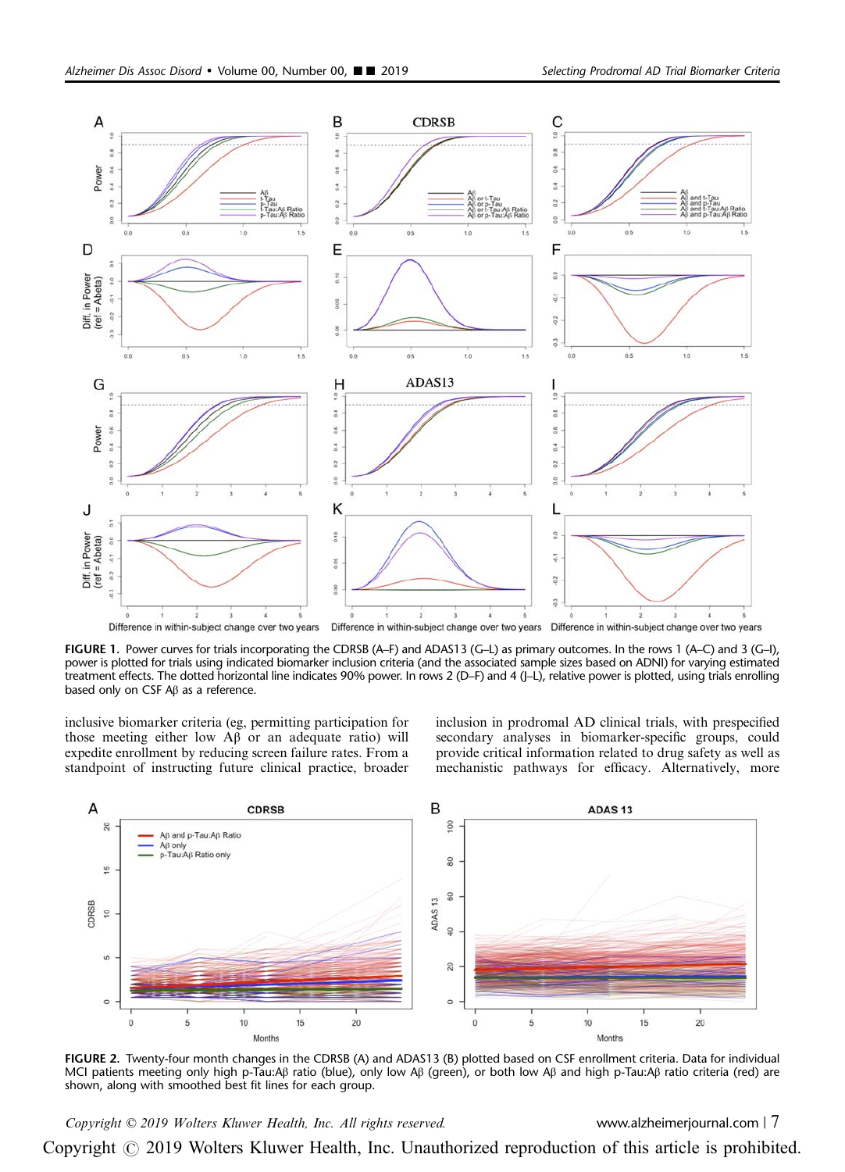<span id="page-6-0"></span>

FIGURE 1. Power curves for trials incorporating the CDRSB (A–F) and ADAS13 (G–L) as primary outcomes. In the rows 1 (A–C) and 3 (G–I), power is plotted for trials using indicated biomarker inclusion criteria (and the associated sample sizes based on ADNI) for varying estimated treatment effects. The dotted horizontal line indicates 90% power. In rows 2 (D–F) and 4 (J–L), relative power is plotted, using trials enrolling based only on CSF Aβ as a reference.

inclusive biomarker criteria (eg, permitting participation for those meeting either low  $\mathbf{A}$ β or an adequate ratio) will expedite enrollment by reducing screen failure rates. From a standpoint of instructing future clinical practice, broader

inclusion in prodromal AD clinical trials, with prespecified secondary analyses in biomarker-specific groups, could provide critical information related to drug safety as well as mechanistic pathways for efficacy. Alternatively, more



FIGURE 2. Twenty-four month changes in the CDRSB (A) and ADAS13 (B) plotted based on CSF enrollment criteria. Data for individual MCI patients meeting only high p-Tau:Aβ ratio (blue), only low Aβ (green), or both low Aβ and high p-Tau:Aβ ratio criteria (red) are shown, along with smoothed best fit lines for each group.

Copyright © 2019 Wolters Kluwer Health, Inc. All rights reserved. www.alzheimerjournal.com | 7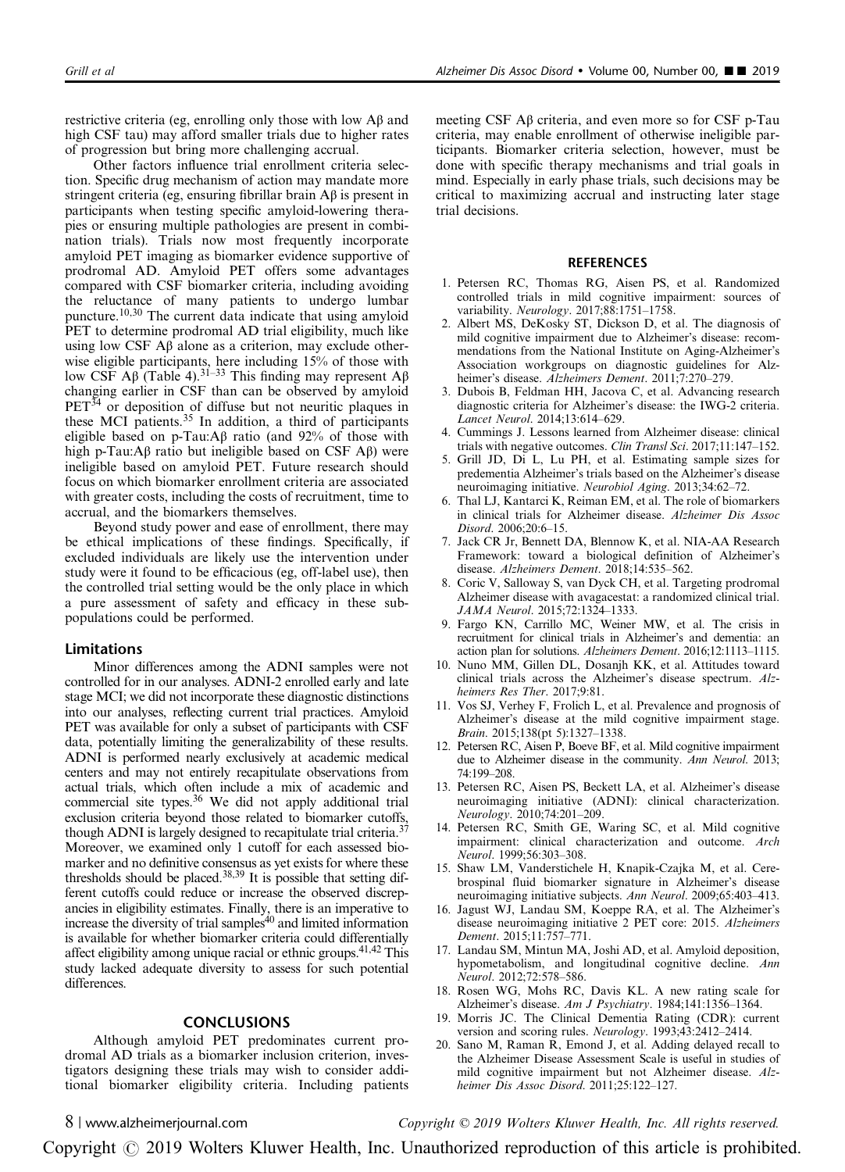<span id="page-7-0"></span>restrictive criteria (eg, enrolling only those with low Aβ and high CSF tau) may afford smaller trials due to higher rates of progression but bring more challenging accrual.

Other factors influence trial enrollment criteria selection. Specific drug mechanism of action may mandate more stringent criteria (eg, ensuring fibrillar brain Aβ is present in participants when testing specific amyloid-lowering therapies or ensuring multiple pathologies are present in combination trials). Trials now most frequently incorporate amyloid PET imaging as biomarker evidence supportive of prodromal AD. Amyloid PET offers some advantages compared with CSF biomarker criteria, including avoiding the reluctance of many patients to undergo lumbar puncture.10,30 The current data indicate that using amyloid PET to determine prodromal AD trial eligibility, much like using low CSF  $\text{A}β$  alone as a criterion, may exclude other-wise eligible participants, here including 15% of those with low CSF Aβ ([Table 4\)](#page-3-0).<sup>[31](#page-8-0)–33</sup> This finding may represent Aβ changing earlier in CSF than can be observed by amyloid  $PET<sup>34</sup>$  $PET<sup>34</sup>$  $PET<sup>34</sup>$  or deposition of diffuse but not neuritic plaques in these MCI patients.<sup>[35](#page-8-0)</sup> In addition, a third of participants eligible based on p-Tau:Aβ ratio (and 92% of those with high p-Tau:Aβ ratio but ineligible based on CSF Aβ) were ineligible based on amyloid PET. Future research should focus on which biomarker enrollment criteria are associated with greater costs, including the costs of recruitment, time to accrual, and the biomarkers themselves.

Beyond study power and ease of enrollment, there may be ethical implications of these findings. Specifically, if excluded individuals are likely use the intervention under study were it found to be efficacious (eg, off-label use), then the controlled trial setting would be the only place in which a pure assessment of safety and efficacy in these subpopulations could be performed.

#### Limitations

Minor differences among the ADNI samples were not controlled for in our analyses. ADNI-2 enrolled early and late stage MCI; we did not incorporate these diagnostic distinctions into our analyses, reflecting current trial practices. Amyloid PET was available for only a subset of participants with CSF data, potentially limiting the generalizability of these results. ADNI is performed nearly exclusively at academic medical centers and may not entirely recapitulate observations from actual trials, which often include a mix of academic and commercial site types.<sup>36</sup> We did not apply additional trial exclusion criteria beyond those related to biomarker cutoffs, though ADNI is largely designed to recapitulate trial criteria.<sup>[37](#page-8-0)</sup> Moreover, we examined only 1 cutoff for each assessed biomarker and no definitive consensus as yet exists for where these thresholds should be placed[.38,39](#page-8-0) It is possible that setting different cutoffs could reduce or increase the observed discrepancies in eligibility estimates. Finally, there is an imperative to increase the diversity of trial samples $40$  and limited information is available for whether biomarker criteria could differentially affect eligibility among unique racial or ethnic groups.<sup>41,42</sup> This study lacked adequate diversity to assess for such potential differences.

#### CONCLUSIONS

Although amyloid PET predominates current prodromal AD trials as a biomarker inclusion criterion, investigators designing these trials may wish to consider additional biomarker eligibility criteria. Including patients meeting CSF Aβ criteria, and even more so for CSF p-Tau criteria, may enable enrollment of otherwise ineligible participants. Biomarker criteria selection, however, must be done with specific therapy mechanisms and trial goals in mind. Especially in early phase trials, such decisions may be critical to maximizing accrual and instructing later stage trial decisions.

#### **REFERENCES**

- 1. Petersen RC, Thomas RG, Aisen PS, et al. Randomized controlled trials in mild cognitive impairment: sources of variability. Neurology. 2017;88:1751–1758.
- 2. Albert MS, DeKosky ST, Dickson D, et al. The diagnosis of mild cognitive impairment due to Alzheimer's disease: recommendations from the National Institute on Aging-Alzheimer's Association workgroups on diagnostic guidelines for Alzheimer's disease. Alzheimers Dement. 2011;7:270-279.
- 3. Dubois B, Feldman HH, Jacova C, et al. Advancing research diagnostic criteria for Alzheimer's disease: the IWG-2 criteria. Lancet Neurol. 2014;13:614–629.
- 4. Cummings J. Lessons learned from Alzheimer disease: clinical trials with negative outcomes. Clin Transl Sci. 2017;11:147–152.
- 5. Grill JD, Di L, Lu PH, et al. Estimating sample sizes for predementia Alzheimer's trials based on the Alzheimer's disease neuroimaging initiative. Neurobiol Aging. 2013;34:62–72.
- 6. Thal LJ, Kantarci K, Reiman EM, et al. The role of biomarkers in clinical trials for Alzheimer disease. Alzheimer Dis Assoc Disord. 2006;20:6–15.
- 7. Jack CR Jr, Bennett DA, Blennow K, et al. NIA-AA Research Framework: toward a biological definition of Alzheimer's disease. Alzheimers Dement. 2018;14:535–562.
- 8. Coric V, Salloway S, van Dyck CH, et al. Targeting prodromal Alzheimer disease with avagacestat: a randomized clinical trial. JAMA Neurol. 2015;72:1324–1333.
- 9. Fargo KN, Carrillo MC, Weiner MW, et al. The crisis in recruitment for clinical trials in Alzheimer's and dementia: an action plan for solutions. Alzheimers Dement. 2016;12:1113–1115.
- 10. Nuno MM, Gillen DL, Dosanjh KK, et al. Attitudes toward clinical trials across the Alzheimer's disease spectrum. Alzheimers Res Ther. 2017;9:81.
- 11. Vos SJ, Verhey F, Frolich L, et al. Prevalence and prognosis of Alzheimer's disease at the mild cognitive impairment stage. Brain. 2015;138(pt 5):1327–1338.
- 12. Petersen RC, Aisen P, Boeve BF, et al. Mild cognitive impairment due to Alzheimer disease in the community. Ann Neurol. 2013; 74:199–208.
- 13. Petersen RC, Aisen PS, Beckett LA, et al. Alzheimer's disease neuroimaging initiative (ADNI): clinical characterization. Neurology. 2010;74:201–209.
- 14. Petersen RC, Smith GE, Waring SC, et al. Mild cognitive impairment: clinical characterization and outcome. Arch Neurol. 1999;56:303-308.
- 15. Shaw LM, Vanderstichele H, Knapik-Czajka M, et al. Cerebrospinal fluid biomarker signature in Alzheimer's disease neuroimaging initiative subjects. Ann Neurol. 2009;65:403–413.
- 16. Jagust WJ, Landau SM, Koeppe RA, et al. The Alzheimer's disease neuroimaging initiative 2 PET core: 2015. Alzheimers Dement. 2015;11:757–771.
- 17. Landau SM, Mintun MA, Joshi AD, et al. Amyloid deposition, hypometabolism, and longitudinal cognitive decline. Ann Neurol. 2012;72:578–586.
- 18. Rosen WG, Mohs RC, Davis KL. A new rating scale for Alzheimer's disease. Am J Psychiatry. 1984;141:1356–1364.
- 19. Morris JC. The Clinical Dementia Rating (CDR): current version and scoring rules. Neurology. 1993;43:2412–2414.
- 20. Sano M, Raman R, Emond J, et al. Adding delayed recall to the Alzheimer Disease Assessment Scale is useful in studies of mild cognitive impairment but not Alzheimer disease. Alzheimer Dis Assoc Disord. 2011;25:122–127.

8 | www.alzheimerjournal.com Copyright © 2019 Wolters Kluwer Health, Inc. All rights reserved.